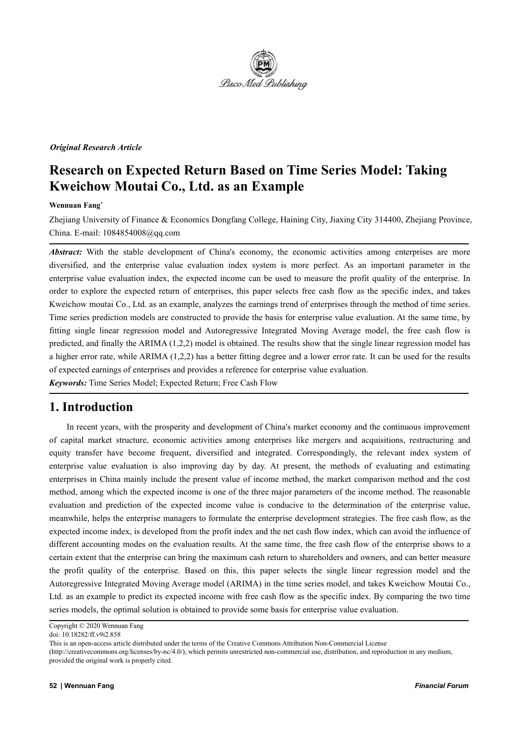

#### *Original Research Article*

# **Research on Expected Return Based on Time Series Model: Taking Kweichow Moutai Co., Ltd. as an Example**

#### **Wennuan Fang \***

Zhejiang University of Finance & Economics Dongfang College, Haining City, Jiaxing City 314400, Zhejiang Province, China. E-mail: 1084854008@qq.com

Abstract: With the stable development of China's economy, the economic activities among enterprises are more diversified, and the enterprise value evaluation index system is more perfect. As an important parameter in the enterprise value evaluation index, the expected income can be used to measure the profit quality of the enterprise. In order to explore the expected return of enterprises, this paper selects free cash flow as the specific index, and takes Kweichow moutai Co., Ltd. as an example, analyzes the earnings trend of enterprises through the method of time series. Time series prediction models are constructed to provide the basis for enterprise value evaluation. At the same time, by fitting single linear regression model and Autoregressive Integrated Moving Average model, the free cash flow is predicted, and finally the ARIMA (1,2,2) model is obtained. The results show that the single linear regression model has a higher error rate, while ARIMA (1,2,2) has a better fitting degree and a lower error rate. It can be used for the results of expected earnings of enterprises and provides a reference for enterprise value evaluation.

*Keywords:* Time Series Model; Expected Return; Free Cash Flow

### **1. Introduction**

In recent years, with the prosperity and development of China's market economy and the continuous improvement of capital market structure, economic activities among enterprises like mergers and acquisitions, restructuring and equity transfer have become frequent, diversified and integrated. Correspondingly, the relevant index system of enterprise value evaluation is also improving day by day. At present, the methods of evaluating and estimating enterprises in China mainly include the present value of income method, the market comparison method and the cost method, among which the expected income is one of the three major parameters of the income method. The reasonable evaluation and prediction of the expected income value is conducive to the determination of the enterprise value, meanwhile, helps the enterprise managers to formulate the enterprise development strategies. The free cash flow, as the expected income index, is developed from the profit index and the net cash flow index, which can avoid the influence of different accounting modes on the evaluation results. At the same time, the free cash flow of the enterprise shows to a certain extent that the enterprise can bring the maximum cash return to shareholders and owners, and can better measure the profit quality of the enterprise. Based on this, this paper selects the single linear regression model and the Autoregressive Integrated Moving Average model (ARIMA) in the time series model, and takes Kweichow Moutai Co., Ltd. as an example to predict its expected income with free cash flow as the specific index. By comparing the two time series models, the optimal solution is obtained to provide some basis for enterprise value evaluation.

(http://creativecommons.org/licenses/by-nc/4.0/), which permits unrestricted non-commercial use, distribution, and reproduction in any medium, provided the original work is properly cited.

Copyright © 2020 Wennuan Fang

doi: 10.18282/ff.v9i2.858

This is an open-access article distributed under the terms of the Creative Commons Attribution Non-Commercial License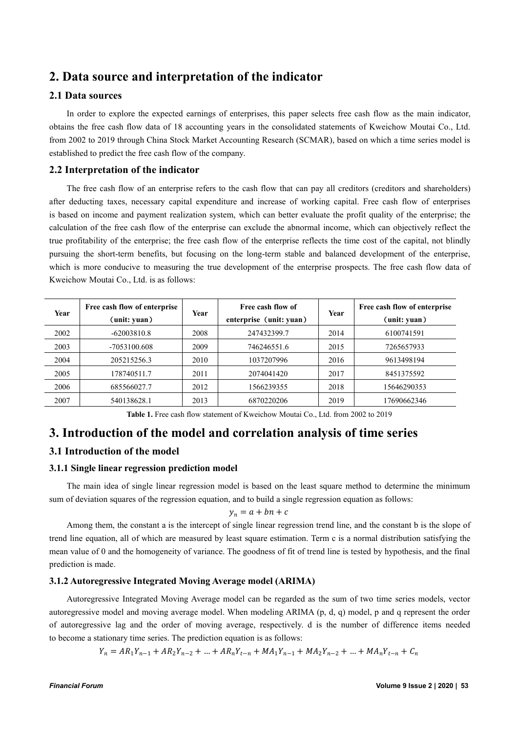## **2. Data source and interpretation of the indicator**

#### **2.1 Data sources**

In order to explore the expected earnings of enterprises, this paper selects free cash flow as the main indicator, obtains the free cash flow data of 18 accounting years in the consolidated statements of Kweichow Moutai Co., Ltd. from 2002 to 2019 through China Stock Market Accounting Research (SCMAR), based on which a time series model is established to predict the free cash flow of the company.

### **2.2 Interpretation of the indicator**

The free cash flow of an enterprise refers to the cash flow that can pay all creditors (creditors and shareholders) after deducting taxes, necessary capital expenditure and increase of working capital. Free cash flow of enterprises is based on income and payment realization system, which can better evaluate the profit quality of the enterprise; the calculation of the free cash flow of the enterprise can exclude the abnormal income, which can objectively reflect the true profitability of the enterprise; the free cash flow of the enterprise reflects the time cost of the capital, not blindly pursuing the short-term benefits, but focusing on the long-term stable and balanced development of the enterprise, which is more conducive to measuring the true development of the enterprise prospects. The free cash flow data of Kweichow Moutai Co., Ltd. is as follows:

| Year | Free cash flow of enterprise |      | Free cash flow of       |      | Free cash flow of enterprise |
|------|------------------------------|------|-------------------------|------|------------------------------|
|      | (unit: yuan)                 | Year | enterprise (unit: yuan) | Year | (unit: yuan)                 |
| 2002 | $-62003810.8$                | 2008 | 247432399.7             | 2014 | 6100741591                   |
| 2003 | -7053100.608                 | 2009 | 746246551.6             | 2015 | 7265657933                   |
| 2004 | 205215256.3                  | 2010 | 1037207996              | 2016 | 9613498194                   |
| 2005 | 178740511.7                  | 2011 | 2074041420              | 2017 | 8451375592                   |
| 2006 | 685566027.7                  | 2012 | 1566239355              | 2018 | 15646290353                  |
| 2007 | 540138628.1                  | 2013 | 6870220206              | 2019 | 17690662346                  |

**Table 1.** Free cash flow statement of Kweichow Moutai Co., Ltd. from 2002 to 2019

### **3. Introduction of the model and correlation analysis oftime series**

#### **3.1 Introduction of the model**

#### **3.1.1 Single linear regression prediction model**

The main idea of single linear regression model is based on the least square method to determine the minimum sum of deviation squares of the regression equation, and to build a single regression equation as follows:

$$
y_n = a + bn + c
$$

Among them, the constant a is the intercept of single linear regression trend line, and the constant b is the slope of trend line equation, all of which are measured by least square estimation. Term c is a normaldistribution satisfying the mean value of 0 and the homogeneity of variance. The goodness of fitof trend line is tested by hypothesis, and the final prediction is made.

#### **3.1.2 Autoregressive Integrated Moving Average model (ARIMA)**

Autoregressive Integrated Moving Average model can be regarded as the sum of two time series models, vector autoregressive model and moving average model. When modeling ARIMA (p, d, q) model, p and q represent the order of autoregressive lag and the order of moving average, respectively. d is the number of difference items needed to become a stationary time series. The prediction equation is as follows:

 $Y_n = AR_1Y_{n-1} + AR_2Y_{n-2} + ... + AR_nY_{t-n} + MA_1Y_{n-1} + MA_2Y_{n-2} + ... + MA_nY_{t-n} + C_n$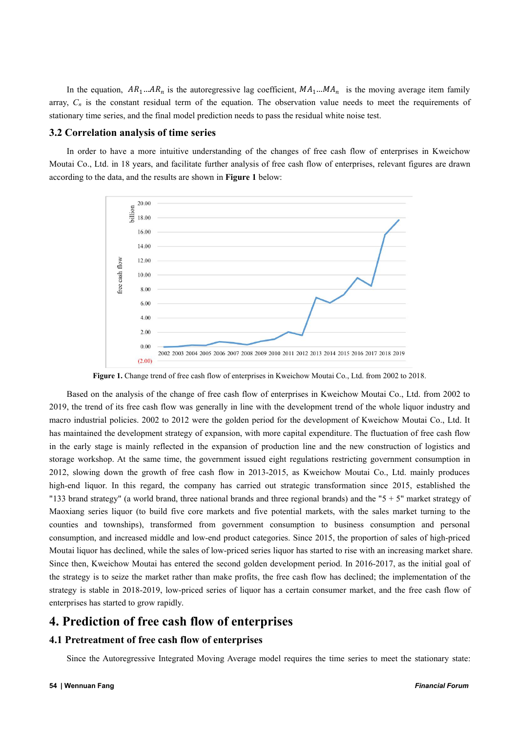In the equation,  $AR_1...AR_n$  is the autoregressive lag coefficient,  $MA_1...MA_n$  is the moving average item family array,  $C_n$  is the constant residual term of the equation. The observation value needs to meet the requirements of stationary time series, and the final model prediction needs to pass the residual white noise test.

#### **3.2 Correlation analysis of time series**

In order to have a more intuitive understanding of the changes of free cash flow of enterprises in Kweichow Moutai Co., Ltd. in 18 years, and facilitate further analysis of free cash flow of enterprises, relevant figures are drawn according to the data, and the results are shown in **Figure 1** below:



Figure 1. Change trend of free cash flow of enterprises in Kweichow Moutai Co., Ltd. from 2002 to 2018.

Based on the analysis of the change of free cash flow of enterprises in Kweichow Moutai Co., Ltd. from 2002 to 2019, the trend of its free cash flow was generally in line with the development trend of the whole liquor industry and macro industrial policies. 2002 to 2012 were the golden period for the development of Kweichow Moutai Co., Ltd. It has maintained the development strategy of expansion, with more capital expenditure. The fluctuation of free cash flow in the early stage is mainly reflected in the expansion of production line and the new construction of logistics and storage workshop. At the same time, the government issued eight regulations restricting government consumption in 2012, slowing down the growth of free cash flow in 2013-2015, as Kweichow Moutai Co., Ltd. mainly produces high-end liquor. In this regard, the company has carried out strategic transformation since 2015, established the "133 brand strategy" (a world brand, three national brands and three regional brands) and the " $5 + 5$ " market strategy of Maoxiang series liquor (to build five core markets and five potential markets, with the sales market turning to the counties and townships), transformed from government consumption to business consumption and personal consumption, and increased middle and low-end product categories. Since 2015, the proportion of sales of high-priced Moutai liquor has declined, while the sales of low-priced series liquor has started to rise with an increasing market share. Since then, Kweichow Moutai has entered the second golden development period. In 2016-2017, as the initial goal of the strategy is to seize the market rather than make profits, the free cash flow has declined; the implementation of the strategy is stable in 2018-2019, low-priced series of liquor has a certain consumer market, and the free cash flow of enterprises has started to grow rapidly.

### **4. Prediction of free cash flow of enterprises**

#### **4.1 Pretreatment of free cash flow of enterprises**

Since the Autoregressive Integrated Moving Average model requires the time series to meet the stationary state: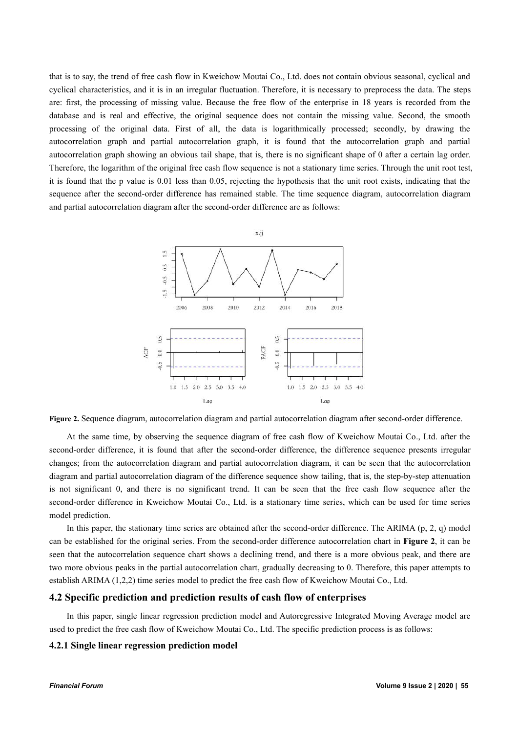that is to say, the trend of free cash flow in Kweichow Moutai Co., Ltd. does not contain obvious seasonal, cyclical and cyclical characteristics, and it is in an irregular fluctuation. Therefore, it is necessary to preprocess the data. The steps are: first, the processing of missing value. Because the free flow of the enterprise in 18 years is recorded from the database and is real and effective, the original sequence does not contain the missing value. Second, the smooth processing of the original data. First of all, the data is logarithmically processed; secondly, by drawing the autocorrelation graph and partial autocorrelation graph, it is found that the autocorrelation graph and partial autocorrelation graph showing an obvious tail shape, that is, there isno significant shape of 0 after a certain lag order. Therefore, the logarithm of the original free cash flow sequence is not a stationary time series. Through the unit root test, it is found that the p value is0.01 less than 0.05, rejecting the hypothesis that the unit root exists, indicating that the sequence after the second-order difference has remained stable. The time sequence diagram, autocorrelation diagram and partial autocorrelation diagram after the second-order difference are as follows:



**Figure 2.** Sequence diagram, autocorrelation diagram and partial autocorrelation diagram after second-order difference.

At the same time, by observing the sequence diagram of free cash flow of Kweichow Moutai Co., Ltd. after the second-order difference, it is found that after the second-order difference, the difference sequence presents irregular changes; from the autocorrelation diagram and partial autocorrelation diagram, it can be seen that the autocorrelation diagram and partial autocorrelation diagram of the difference sequence show tailing, that is, the step-by-step attenuation is not significant 0, and there is no significant trend. It can be seen that the free cash flow sequence after the second-order difference in Kweichow Moutai Co., Ltd. is a stationary time series, which can be used for time series model prediction.

In this paper, the stationary time series are obtained after the second-order difference. The ARIMA (p, 2, q) model can be established for the original series. From the second-order difference autocorrelation chart in **Figure 2**, it can be seen that the autocorrelation sequence chart shows a declining trend, and there is a more obvious peak, and there are two more obvious peaks in the partial autocorrelation chart, gradually decreasing to 0. Therefore, this paper attempts to establish ARIMA (1,2,2) time series model to predict the free cash flow of Kweichow Moutai Co., Ltd.

#### **4.2 Specific prediction and prediction results of cash flow of enterprises**

In this paper, single linear regression prediction model and Autoregressive Integrated Moving Average model are used to predict the free cash flow of Kweichow Moutai Co., Ltd. The specific prediction process is as follows:

#### **4.2.1 Single linear regression prediction model**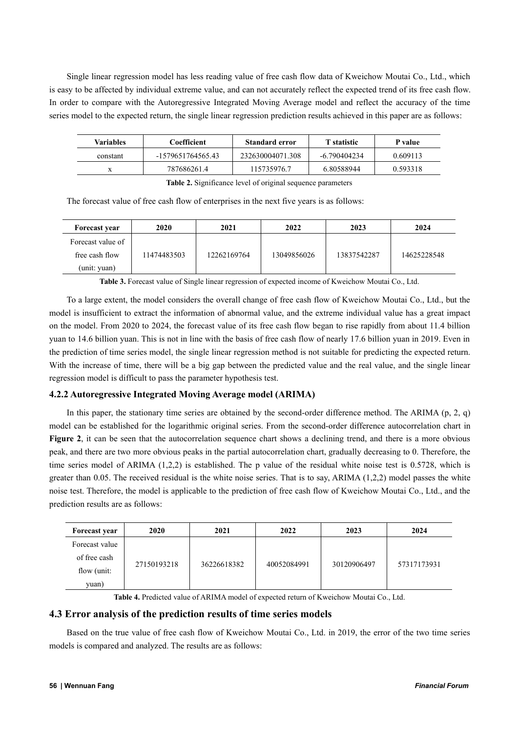Single linear regression model has less reading value of free cash flow data of Kweichow Moutai Co., Ltd., which is easy to be affected by individual extreme value, and can not accurately reflect the expected trend of its free cash flow. In order to compare with the Autoregressive Integrated Moving Average model and reflect the accuracy of the time series model to the expected return, the single linear regression prediction results achieved in this paper are as follows:

| Variables | Coefficient       | <b>Standard error</b> | <b>T</b> statistic | P value  |
|-----------|-------------------|-----------------------|--------------------|----------|
| constant  | -1579651764565.43 | 232630004071.308      | -6.790404234       | 0.609113 |
|           | 787686261.4       | 115735976.7           | 6.80588944         | 0.593318 |

**Table 2.** Significance level of original sequence parameters

The forecast value of free cash flow of enterprises in the next five years is as follows:

| Forecast year                       | 2020        | 2021        | 2022        | 2023        | 2024        |
|-------------------------------------|-------------|-------------|-------------|-------------|-------------|
| Forecast value of<br>free cash flow | 11474483503 | 12262169764 | 13049856026 | 13837542287 | 14625228548 |
| (unit: yuan)                        |             |             |             |             |             |

**Table 3.** Forecast value of Single linear regression of expected income of Kweichow Moutai Co., Ltd.

To a large extent, the model considers the overall change of free cash flow of Kweichow Moutai Co., Ltd., but the model is insufficient to extract the information of abnormal value, and the extreme individual value has a great impact on the model. From 2020 to 2024, the forecast value of its free cash flow began to rise rapidly from about 11.4 billion yuan to 14.6 billion yuan. This is not in line with the basis of free cash flow of nearly 17.6 billion yuan in 2019. Even in the prediction of time series model, the single linear regression method is not suitable for predicting the expected return. With the increase of time, there will be a big gap between the predicted value and the real value, and the single linear regression model is difficult to pass the parameter hypothesis test.

#### **4.2.2 Autoregressive Integrated Moving Average model (ARIMA)**

In this paper, the stationary time series are obtained by the second-order difference method. The ARIMA (p, 2, q) model can be established for the logarithmic original series. From the second-order difference autocorrelation chart in **Figure** 2, it can be seen that the autocorrelation sequence chart shows a declining trend, and there is a more obvious peak, and there are two more obvious peaks in the partial autocorrelation chart, gradually decreasing to 0. Therefore, the time series model of ARIMA (1,2,2) is established. The p value of the residual white noise test is 0.5728, which is greater than 0.05. The received residual is the white noise series. That is to say, ARIMA (1,2,2) model passes the white noise test. Therefore, the model is applicable to the prediction of free cash flow of Kweichow Moutai Co., Ltd., and the prediction results are as follows:

| Forecast year  | <b>2020</b> | 2021        | 2022        | 2023        | 2024        |
|----------------|-------------|-------------|-------------|-------------|-------------|
| Forecast value |             |             |             |             |             |
| of free cash   |             | 36226618382 | 40052084991 | 30120906497 | 57317173931 |
| flow (unit:    | 27150193218 |             |             |             |             |
| yuan)          |             |             |             |             |             |

**Table 4.** Predicted value of ARIMA model of expected return of Kweichow Moutai Co., Ltd.

### **4.3 Error analysis ofthe prediction results oftime series models**

Based on the true value of free cash flow of Kweichow Moutai Co., Ltd. in 2019, the error of the two time series models is compared and analyzed. The results are as follows: